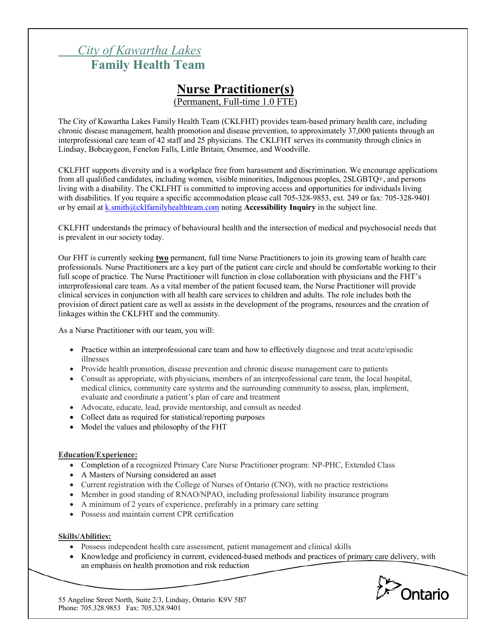# *City of Kawartha Lakes* **Family Health Team**

# **Nurse Practitioner(s)**

(Permanent, Full-time 1.0 FTE)

The City of Kawartha Lakes Family Health Team (CKLFHT) provides team-based primary health care, including chronic disease management, health promotion and disease prevention, to approximately 37,000 patients through an interprofessional care team of 42 staff and 25 physicians. The CKLFHT serves its community through clinics in Lindsay, Bobcaygeon, Fenelon Falls, Little Britain, Omemee, and Woodville.

CKLFHT supports diversity and is a workplace free from harassment and discrimination. We encourage applications from all qualified candidates, including women, visible minorities, Indigenous peoples, 2SLGBTQ+, and persons living with a disability. The CKLFHT is committed to improving access and opportunities for individuals living with disabilities. If you require a specific accommodation please call 705-328-9853, ext. 249 or fax: 705-328-9401 or by email at k.smith@cklfamilyhealthteam.com noting **Accessibility Inquiry** in the subject line.

CKLFHT understands the primacy of behavioural health and the intersection of medical and psychosocial needs that is prevalent in our society today.

Our FHT is currently seeking **two** permanent, full time Nurse Practitioners to join its growing team of health care professionals. Nurse Practitioners are a key part of the patient care circle and should be comfortable working to their full scope of practice. The Nurse Practitioner will function in close collaboration with physicians and the FHT's interprofessional care team. As a vital member of the patient focused team, the Nurse Practitioner will provide clinical services in conjunction with all health care services to children and adults. The role includes both the provision of direct patient care as well as assists in the development of the programs, resources and the creation of linkages within the CKLFHT and the community.

As a Nurse Practitioner with our team, you will:

- Practice within an interprofessional care team and how to effectively diagnose and treat acute/episodic illnesses
- Provide health promotion, disease prevention and chronic disease management care to patients
- Consult as appropriate, with physicians, members of an interprofessional care team, the local hospital, medical clinics, community care systems and the surrounding community to assess, plan, implement, evaluate and coordinate a patient's plan of care and treatment
- Advocate, educate, lead, provide mentorship, and consult as needed
- Collect data as required for statistical/reporting purposes
- Model the values and philosophy of the FHT

#### **Education/Experience:**

- Completion of a recognized Primary Care Nurse Practitioner program: NP-PHC, Extended Class
- A Masters of Nursing considered an asset
- Current registration with the College of Nurses of Ontario (CNO), with no practice restrictions
- Member in good standing of RNAO/NPAO, including professional liability insurance program
- A minimum of 2 years of experience, preferably in a primary care setting
- Possess and maintain current CPR certification

#### **Skills/Abilities:**

- Possess independent health care assessment, patient management and clinical skills
- Knowledge and proficiency in current, evidenced-based methods and practices of primary care delivery, with an emphasis on health promotion and risk reduction



55 Angeline Street North, Suite 2/3, Lindsay, Ontario K9V 5B7 Phone: 705.328.9853 Fax: 705.328.9401